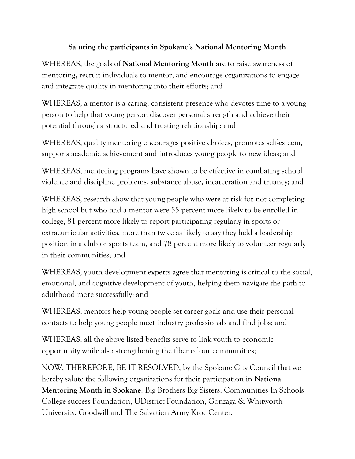## **Saluting the participants in Spokane's National Mentoring Month**

WHEREAS, the goals of **National Mentoring Month** are to raise awareness of mentoring, recruit individuals to mentor, and encourage organizations to engage and integrate quality in mentoring into their efforts; and

WHEREAS, a mentor is a caring, consistent presence who devotes time to a young person to help that young person discover personal strength and achieve their potential through a structured and trusting relationship; and

WHEREAS, quality mentoring encourages positive choices, promotes self-esteem, supports academic achievement and introduces young people to new ideas; and

WHEREAS, mentoring programs have shown to be effective in combating school violence and discipline problems, substance abuse, incarceration and truancy; and

WHEREAS, research show that young people who were at risk for not completing high school but who had a mentor were 55 percent more likely to be enrolled in college, 81 percent more likely to report participating regularly in sports or extracurricular activities, more than twice as likely to say they held a leadership position in a club or sports team, and 78 percent more likely to volunteer regularly in their communities; and

WHEREAS, youth development experts agree that mentoring is critical to the social, emotional, and cognitive development of youth, helping them navigate the path to adulthood more successfully; and

WHEREAS, mentors help young people set career goals and use their personal contacts to help young people meet industry professionals and find jobs; and

WHEREAS, all the above listed benefits serve to link youth to economic opportunity while also strengthening the fiber of our communities;

NOW, THEREFORE, BE IT RESOLVED, by the Spokane City Council that we hereby salute the following organizations for their participation in **National Mentoring Month in Spokane**: Big Brothers Big Sisters, Communities In Schools, College success Foundation, UDistrict Foundation, Gonzaga & Whitworth University, Goodwill and The Salvation Army Kroc Center.